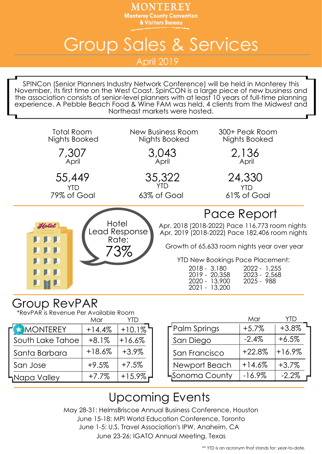MONTEREY **Monterey County Convention** & Visitors Bureau

## Group Sales & Services

April 2019

SPINCon (Senior Planners Industry Network Conference) will be held in Monterey this November, its first time on the West Coast. SpinCON is a large piece of new business and the association consists of senior-level planners with at least 10 years of full-time planning experience. A Pebble Beach Food & Wine FAM was held, 4 clients from the Midwest and Northeast markets were hosted.



## Group RevPAR

\*RevPAR is Revenue Per Available Room

|                  | Mar      |             |                        |
|------------------|----------|-------------|------------------------|
| MONTEREY         | $+14.4%$ | $+10.1\%$   | $\Gamma$ Palm Springs  |
| South Lake Tahoe | $+8.1%$  | $+16.6%$    | San Diego              |
| Santa Barbara    | $+18.6%$ | $+3.9\%$    | San Francisco          |
| San Jose         | $+9.5%$  | $+7.5%$     | Newport Beach          |
| HNapa Valley     | $+7.7\%$ | $+15.9\%$ r | <b>L</b> Sonoma County |
|                  |          |             |                        |

| ,,,,<br>YTD |                | Mar       | YTD      |  |
|-------------|----------------|-----------|----------|--|
| 10.1%       | Palm Springs   | $+5.7%$   | $+3.8%$  |  |
| 6.6%        | San Diego      | $-2.4%$   | $+6.5%$  |  |
| $3.9\%$     | San Francisco  | $+22.8%$  | $+16.9%$ |  |
| $7.5\%$     | Newport Beach  | $+14.6%$  | $+3.7%$  |  |
| $15.9\%$    | LSonoma County | $-16.9\%$ | $-2.2%$  |  |

## Upcoming Events

May 28-31: HelmsBriscoe Annual Business Conference, Houston June 15-18: MPI World Education Conference, Toronto June 1-5: U.S. Travel Association's IPW, Anaheim, CA

June 23-26: IGATO Annual Meeting, Texas